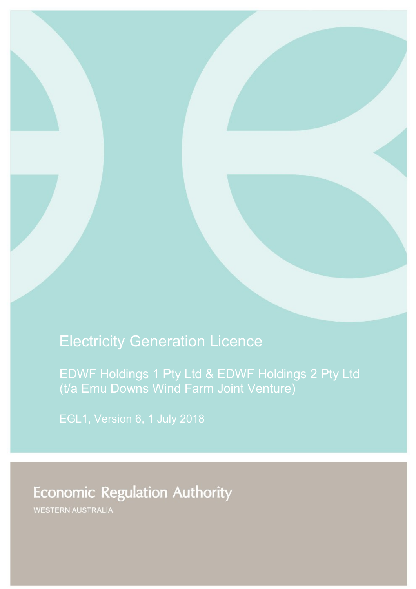# Electricity Generation Licence

EDWF Holdings 1 Pty Ltd & EDWF Holdings 2 Pty Ltd (t/a Emu Downs Wind Farm Joint Venture)

# **Economic Regulation Authority**

WESTERN AUSTRALIA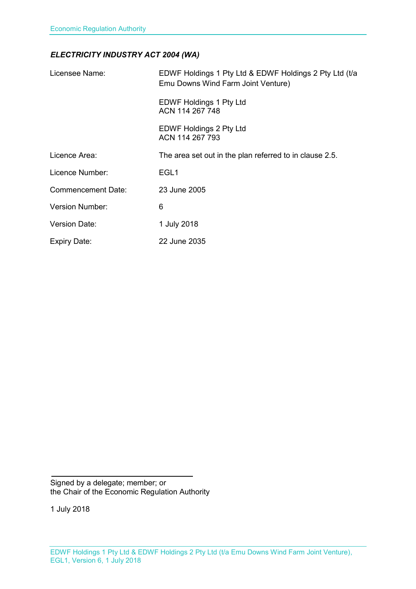#### *ELECTRICITY INDUSTRY ACT 2004 (WA)*

| Licensee Name:            | EDWF Holdings 1 Pty Ltd & EDWF Holdings 2 Pty Ltd (t/a<br>Emu Downs Wind Farm Joint Venture) |
|---------------------------|----------------------------------------------------------------------------------------------|
|                           | <b>EDWF Holdings 1 Pty Ltd</b><br>ACN 114 267 748                                            |
|                           | EDWF Holdings 2 Pty Ltd<br>ACN 114 267 793                                                   |
| Licence Area:             | The area set out in the plan referred to in clause 2.5.                                      |
| Licence Number:           | EGL <sub>1</sub>                                                                             |
| <b>Commencement Date:</b> | 23 June 2005                                                                                 |
| <b>Version Number:</b>    | 6                                                                                            |
| <b>Version Date:</b>      | 1 July 2018                                                                                  |
| Expiry Date:              | 22 June 2035                                                                                 |

Signed by a delegate; member; or the Chair of the Economic Regulation Authority

1 July 2018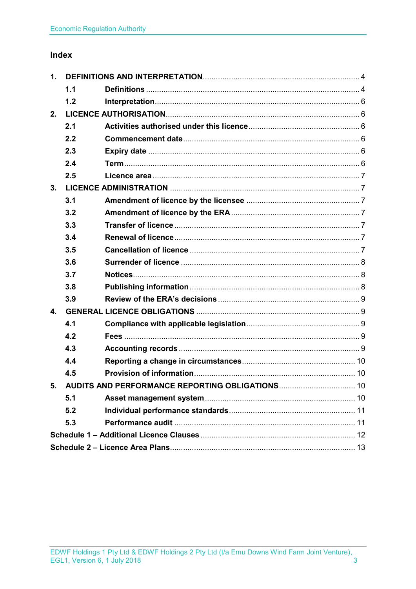### Index

| 1.             |     |                                                    |  |
|----------------|-----|----------------------------------------------------|--|
|                | 1.1 |                                                    |  |
|                | 1.2 |                                                    |  |
| 2.             |     |                                                    |  |
|                | 2.1 |                                                    |  |
|                | 2.2 |                                                    |  |
|                | 2.3 |                                                    |  |
|                | 2.4 |                                                    |  |
|                | 2.5 |                                                    |  |
| 3.             |     |                                                    |  |
|                | 3.1 |                                                    |  |
|                | 3.2 |                                                    |  |
|                | 3.3 |                                                    |  |
|                | 3.4 |                                                    |  |
|                | 3.5 |                                                    |  |
|                | 3.6 |                                                    |  |
|                | 3.7 |                                                    |  |
|                | 3.8 |                                                    |  |
|                | 3.9 |                                                    |  |
| $\mathbf{4}$ . |     |                                                    |  |
|                | 4.1 |                                                    |  |
|                | 4.2 |                                                    |  |
|                | 4.3 |                                                    |  |
|                | 4.4 |                                                    |  |
|                | 4.5 |                                                    |  |
|                |     | 5. AUDITS AND PERFORMANCE REPORTING OBLIGATIONS 10 |  |
|                | 5.1 |                                                    |  |
|                | 5.2 |                                                    |  |
|                | 5.3 |                                                    |  |
|                |     |                                                    |  |
|                |     |                                                    |  |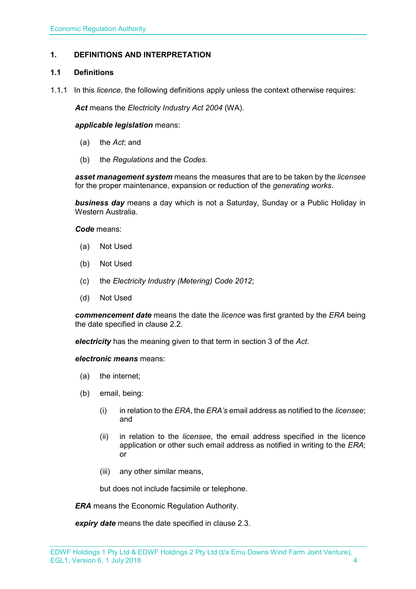#### <span id="page-3-0"></span>**1. DEFINITIONS AND INTERPRETATION**

#### <span id="page-3-1"></span>**1.1 Definitions**

1.1.1 In this *licence*, the following definitions apply unless the context otherwise requires:

*Act* means the *Electricity Industry Act 2004* (WA).

#### *applicable legislation* means:

- (a) the *Act*; and
- (b) the *Regulations* and the *Codes*.

*asset management system* means the measures that are to be taken by the *licensee* for the proper maintenance, expansion or reduction of the *generating works*.

*business day* means a day which is not a Saturday, Sunday or a Public Holiday in Western Australia.

*Code* means:

- (a) Not Used
- (b) Not Used
- (c) the *Electricity Industry (Metering) Code 2012*;
- (d) Not Used

*commencement date* means the date the *licence* was first granted by the *ERA* being the date specified in clause 2.2.

*electricity* has the meaning given to that term in section 3 of the *Act*.

*electronic means* means:

- (a) the internet;
- (b) email, being:
	- (i) in relation to the *ERA*, the *ERA's* email address as notified to the *licensee*; and
	- (ii) in relation to the *licensee*, the email address specified in the licence application or other such email address as notified in writing to the *ERA*; or
	- (iii) any other similar means,

but does not include facsimile or telephone.

*ERA* means the Economic Regulation Authority.

*expiry date* means the date specified in clause 2.3.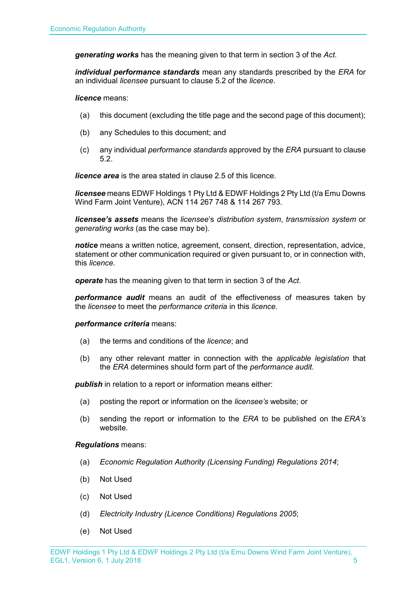*generating works* has the meaning given to that term in section 3 of the *Act.*

*individual performance standards* mean any standards prescribed by the *ERA* for an individual *licensee* pursuant to clause 5.2 of the *licence*.

*licence* means:

- (a) this document (excluding the title page and the second page of this document);
- (b) any Schedules to this document; and
- (c) any individual *performance standards* approved by the *ERA* pursuant to clause 5.2.

*licence area* is the area stated in clause 2.5 of this licence.

*licensee* means EDWF Holdings 1 Pty Ltd & EDWF Holdings 2 Pty Ltd (t/a Emu Downs Wind Farm Joint Venture), ACN 114 267 748 & 114 267 793.

*licensee's assets* means the *licensee*'s *distribution system*, *transmission system* or *generating works* (as the case may be).

*notice* means a written notice, agreement, consent, direction, representation, advice, statement or other communication required or given pursuant to, or in connection with, this *licence*.

*operate* has the meaning given to that term in section 3 of the *Act*.

*performance audit* means an audit of the effectiveness of measures taken by the *licensee* to meet the *performance criteria* in this *licence*.

*performance criteria* means:

- (a) the terms and conditions of the *licence*; and
- (b) any other relevant matter in connection with the *applicable legislation* that the *ERA* determines should form part of the *performance audit*.

**publish** in relation to a report or information means either:

- (a) posting the report or information on the *licensee's* website; or
- (b) sending the report or information to the *ERA* to be published on the *ERA's* website.

*Regulations* means:

- (a) *Economic Regulation Authority (Licensing Funding) Regulations 2014*;
- (b) Not Used
- (c) Not Used
- (d) *Electricity Industry (Licence Conditions) Regulations 2005*;
- (e) Not Used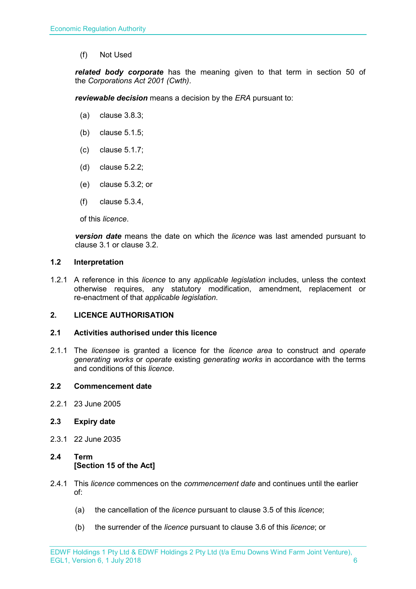(f) Not Used

*related body corporate* has the meaning given to that term in section 50 of the *Corporations Act 2001 (Cwth)*.

*reviewable decision* means a decision by the *ERA* pursuant to:

- (a) clause 3.8.3;
- (b) clause 5.1.5;
- (c) clause 5.1.7;
- (d) clause 5.2.2;
- (e) clause 5.3.2; or
- (f) clause 5.3.4,

of this *licence*.

*version date* means the date on which the *licence* was last amended pursuant to clause 3.1 or clause 3.2.

#### <span id="page-5-0"></span>**1.2 Interpretation**

1.2.1 A reference in this *licence* to any *applicable legislation* includes, unless the context otherwise requires, any statutory modification, amendment, replacement or re-enactment of that *applicable legislation*.

#### <span id="page-5-1"></span>**2. LICENCE AUTHORISATION**

#### <span id="page-5-2"></span>**2.1 Activities authorised under this licence**

2.1.1 The *licensee* is granted a licence for the *licence area* to construct and *operate generating works* or *operate* existing *generating works* in accordance with the terms and conditions of this *licence*.

#### <span id="page-5-3"></span>**2.2 Commencement date**

2.2.1 23 June 2005

#### <span id="page-5-4"></span>**2.3 Expiry date**

2.3.1 22 June 2035

#### <span id="page-5-5"></span>**2.4 Term [Section 15 of the Act]**

- 2.4.1 This *licence* commences on the *commencement date* and continues until the earlier of:
	- (a) the cancellation of the *licence* pursuant to clause 3.5 of this *licence*;
	- (b) the surrender of the *licence* pursuant to clause 3.6 of this *licence*; or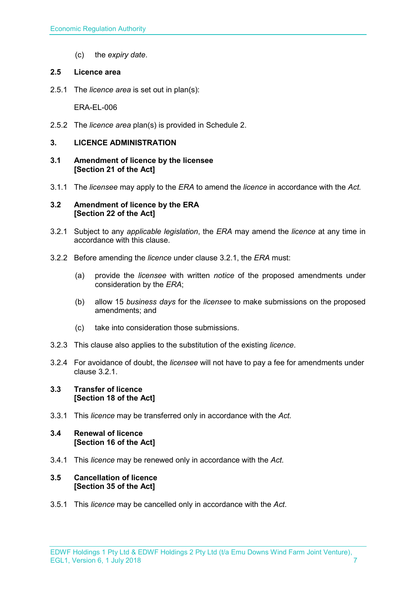(c) the *expiry date*.

#### <span id="page-6-0"></span>**2.5 Licence area**

2.5.1 The *licence area* is set out in plan(s):

ERA-EL-006

2.5.2 The *licence area* plan(s) is provided in Schedule 2.

#### <span id="page-6-1"></span>**3. LICENCE ADMINISTRATION**

- <span id="page-6-2"></span>**3.1 Amendment of licence by the licensee [Section 21 of the Act]**
- 3.1.1 The *licensee* may apply to the *ERA* to amend the *licence* in accordance with the *Act.*

#### <span id="page-6-3"></span>**3.2 Amendment of licence by the ERA [Section 22 of the Act]**

- 3.2.1 Subject to any *applicable legislation*, the *ERA* may amend the *licence* at any time in accordance with this clause.
- 3.2.2 Before amending the *licence* under clause 3.2.1, the *ERA* must:
	- (a) provide the *licensee* with written *notice* of the proposed amendments under consideration by the *ERA*;
	- (b) allow 15 *business days* for the *licensee* to make submissions on the proposed amendments; and
	- (c) take into consideration those submissions.
- 3.2.3 This clause also applies to the substitution of the existing *licence*.
- 3.2.4 For avoidance of doubt, the *licensee* will not have to pay a fee for amendments under clause 3.2.1.

#### <span id="page-6-4"></span>**3.3 Transfer of licence [Section 18 of the Act]**

3.3.1 This *licence* may be transferred only in accordance with the *Act.*

#### <span id="page-6-5"></span>**3.4 Renewal of licence [Section 16 of the Act]**

3.4.1 This *licence* may be renewed only in accordance with the *Act*.

#### <span id="page-6-6"></span>**3.5 Cancellation of licence [Section 35 of the Act]**

3.5.1 This *licence* may be cancelled only in accordance with the *Act*.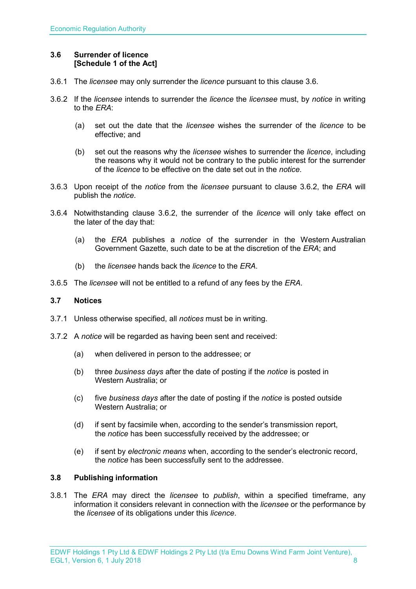#### <span id="page-7-0"></span>**3.6 Surrender of licence [Schedule 1 of the Act]**

- 3.6.1 The *licensee* may only surrender the *licence* pursuant to this clause 3.6.
- 3.6.2 If the *licensee* intends to surrender the *licence* the *licensee* must, by *notice* in writing to the *ERA*:
	- (a) set out the date that the *licensee* wishes the surrender of the *licence* to be effective; and
	- (b) set out the reasons why the *licensee* wishes to surrender the *licence*, including the reasons why it would not be contrary to the public interest for the surrender of the *licence* to be effective on the date set out in the *notice*.
- 3.6.3 Upon receipt of the *notice* from the *licensee* pursuant to clause 3.6.2, the *ERA* will publish the *notice*.
- 3.6.4 Notwithstanding clause 3.6.2, the surrender of the *licence* will only take effect on the later of the day that:
	- (a) the *ERA* publishes a *notice* of the surrender in the Western Australian Government Gazette, such date to be at the discretion of the *ERA*; and
	- (b) the *licensee* hands back the *licence* to the *ERA*.
- 3.6.5 The *licensee* will not be entitled to a refund of any fees by the *ERA*.

#### <span id="page-7-1"></span>**3.7 Notices**

- 3.7.1 Unless otherwise specified, all *notices* must be in writing.
- 3.7.2 A *notice* will be regarded as having been sent and received:
	- (a) when delivered in person to the addressee; or
	- (b) three *business days* after the date of posting if the *notice* is posted in Western Australia; or
	- (c) five *business days* after the date of posting if the *notice* is posted outside Western Australia; or
	- (d) if sent by facsimile when, according to the sender's transmission report, the *notice* has been successfully received by the addressee; or
	- (e) if sent by *electronic means* when, according to the sender's electronic record, the *notice* has been successfully sent to the addressee.

#### <span id="page-7-2"></span>**3.8 Publishing information**

3.8.1 The *ERA* may direct the *licensee* to *publish*, within a specified timeframe, any information it considers relevant in connection with the *licensee* or the performance by the *licensee* of its obligations under this *licence*.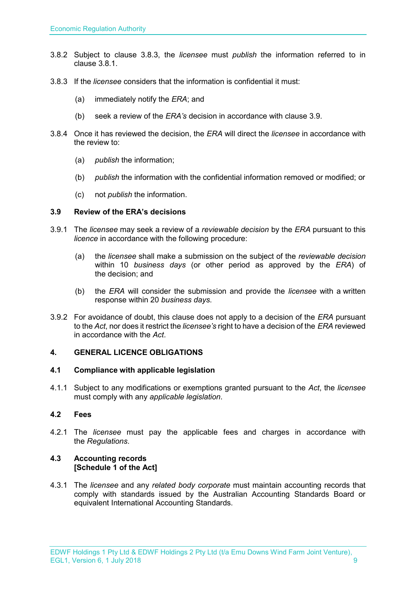- 3.8.2 Subject to clause 3.8.3, the *licensee* must *publish* the information referred to in clause 3.8.1.
- 3.8.3 If the *licensee* considers that the information is confidential it must:
	- (a) immediately notify the *ERA*; and
	- (b) seek a review of the *ERA's* decision in accordance with clause 3.9.
- 3.8.4 Once it has reviewed the decision, the *ERA* will direct the *licensee* in accordance with the review to:
	- (a) *publish* the information;
	- (b) *publish* the information with the confidential information removed or modified; or
	- (c) not *publish* the information.

#### <span id="page-8-0"></span>**3.9 Review of the ERA's decisions**

- 3.9.1 The *licensee* may seek a review of a *reviewable decision* by the *ERA* pursuant to this *licence* in accordance with the following procedure:
	- (a) the *licensee* shall make a submission on the subject of the *reviewable decision* within 10 *business days* (or other period as approved by the *ERA*) of the decision; and
	- (b) the *ERA* will consider the submission and provide the *licensee* with a written response within 20 *business days*.
- 3.9.2 For avoidance of doubt, this clause does not apply to a decision of the *ERA* pursuant to the *Act*, nor does it restrict the *licensee's* right to have a decision of the *ERA* reviewed in accordance with the *Act*.

#### <span id="page-8-1"></span>**4. GENERAL LICENCE OBLIGATIONS**

#### <span id="page-8-2"></span>**4.1 Compliance with applicable legislation**

4.1.1 Subject to any modifications or exemptions granted pursuant to the *Act*, the *licensee* must comply with any *applicable legislation*.

#### <span id="page-8-3"></span>**4.2 Fees**

4.2.1 The *licensee* must pay the applicable fees and charges in accordance with the *Regulations*.

#### <span id="page-8-4"></span>**4.3 Accounting records [Schedule 1 of the Act]**

4.3.1 The *licensee* and any *related body corporate* must maintain accounting records that comply with standards issued by the Australian Accounting Standards Board or equivalent International Accounting Standards.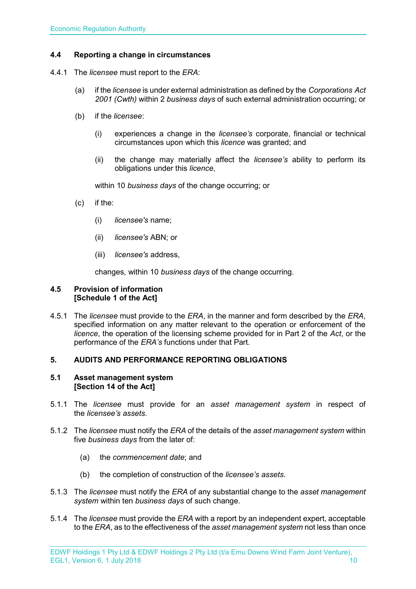#### <span id="page-9-0"></span>**4.4 Reporting a change in circumstances**

- 4.4.1 The *licensee* must report to the *ERA*:
	- (a) if the *licensee* is under external administration as defined by the *Corporations Act 2001 (Cwth)* within 2 *business days* of such external administration occurring; or
	- (b) if the *licensee*:
		- (i) experiences a change in the *licensee's* corporate, financial or technical circumstances upon which this *licence* was granted; and
		- (ii) the change may materially affect the *licensee's* ability to perform its obligations under this *licence*,

within 10 *business days* of the change occurring; or

- (c) if the:
	- (i) *licensee's* name;
	- (ii) *licensee's* ABN; or
	- (iii) *licensee's* address,

changes, within 10 *business days* of the change occurring.

#### <span id="page-9-1"></span>**4.5 Provision of information [Schedule 1 of the Act]**

4.5.1 The *licensee* must provide to the *ERA*, in the manner and form described by the *ERA*, specified information on any matter relevant to the operation or enforcement of the *licence*, the operation of the licensing scheme provided for in Part 2 of the *Act*, or the performance of the *ERA's* functions under that Part.

#### <span id="page-9-2"></span>**5. AUDITS AND PERFORMANCE REPORTING OBLIGATIONS**

#### <span id="page-9-3"></span>**5.1 Asset management system [Section 14 of the Act]**

- 5.1.1 The *licensee* must provide for an *asset management system* in respect of the *licensee's assets*.
- 5.1.2 The *licensee* must notify the *ERA* of the details of the *asset management system* within five *business days* from the later of:
	- (a) the *commencement date*; and
	- (b) the completion of construction of the *licensee's assets*.
- 5.1.3 The *licensee* must notify the *ERA* of any substantial change to the *asset management system* within ten *business days* of such change.
- 5.1.4 The *licensee* must provide the *ERA* with a report by an independent expert, acceptable to the *ERA*, as to the effectiveness of the *asset management system* not less than once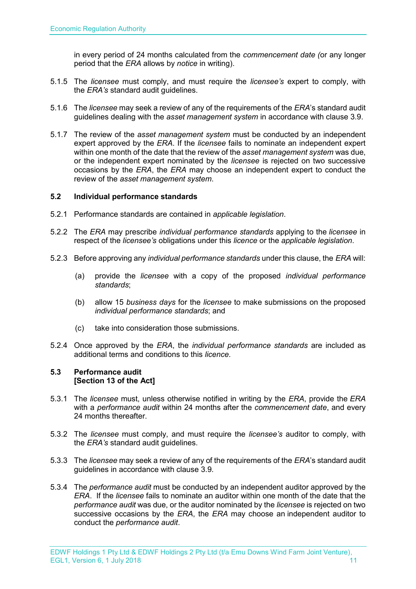in every period of 24 months calculated from the *commencement date (*or any longer period that the *ERA* allows by *notice* in writing).

- 5.1.5 The *licensee* must comply, and must require the *licensee's* expert to comply, with the *ERA's* standard audit guidelines.
- 5.1.6 The *licensee* may seek a review of any of the requirements of the *ERA*'s standard audit guidelines dealing with the *asset management system* in accordance with clause 3.9.
- 5.1.7 The review of the *asset management system* must be conducted by an independent expert approved by the *ERA*. If the *licensee* fails to nominate an independent expert within one month of the date that the review of the *asset management system* was due, or the independent expert nominated by the *licensee* is rejected on two successive occasions by the *ERA*, the *ERA* may choose an independent expert to conduct the review of the *asset management system*.

#### <span id="page-10-0"></span>**5.2 Individual performance standards**

- 5.2.1 Performance standards are contained in *applicable legislation*.
- 5.2.2 The *ERA* may prescribe *individual performance standards* applying to the *licensee* in respect of the *licensee's* obligations under this *licence* or the *applicable legislation*.
- 5.2.3 Before approving any *individual performance standards* under this clause, the *ERA* will:
	- (a) provide the *licensee* with a copy of the proposed *individual performance standards*;
	- (b) allow 15 *business days* for the *licensee* to make submissions on the proposed *individual performance standards*; and
	- (c) take into consideration those submissions.
- 5.2.4 Once approved by the *ERA*, the *individual performance standards* are included as additional terms and conditions to this *licence*.

#### <span id="page-10-1"></span>**5.3 Performance audit [Section 13 of the Act]**

- 5.3.1 The *licensee* must, unless otherwise notified in writing by the *ERA*, provide the *ERA* with a *performance audit* within 24 months after the *commencement date*, and every 24 months thereafter.
- 5.3.2 The *licensee* must comply, and must require the *licensee's* auditor to comply, with the *ERA's* standard audit guidelines.
- 5.3.3 The *licensee* may seek a review of any of the requirements of the *ERA*'s standard audit guidelines in accordance with clause 3.9.
- 5.3.4 The *performance audit* must be conducted by an independent auditor approved by the *ERA*. If the *licensee* fails to nominate an auditor within one month of the date that the *performance audit* was due, or the auditor nominated by the *licensee* is rejected on two successive occasions by the *ERA*, the *ERA* may choose an independent auditor to conduct the *performance audit*.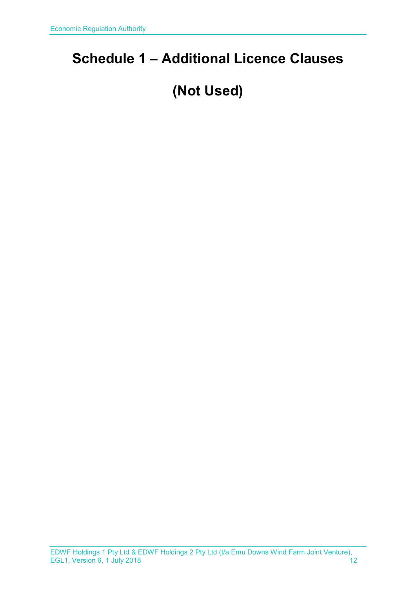# <span id="page-11-0"></span>**Schedule 1 – Additional Licence Clauses**

# **(Not Used)**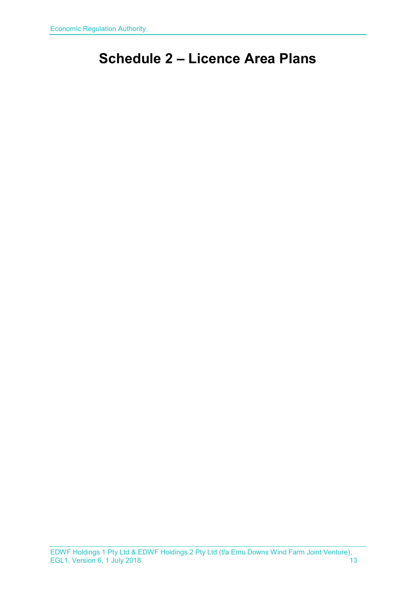# <span id="page-12-0"></span>**Schedule 2 – Licence Area Plans**